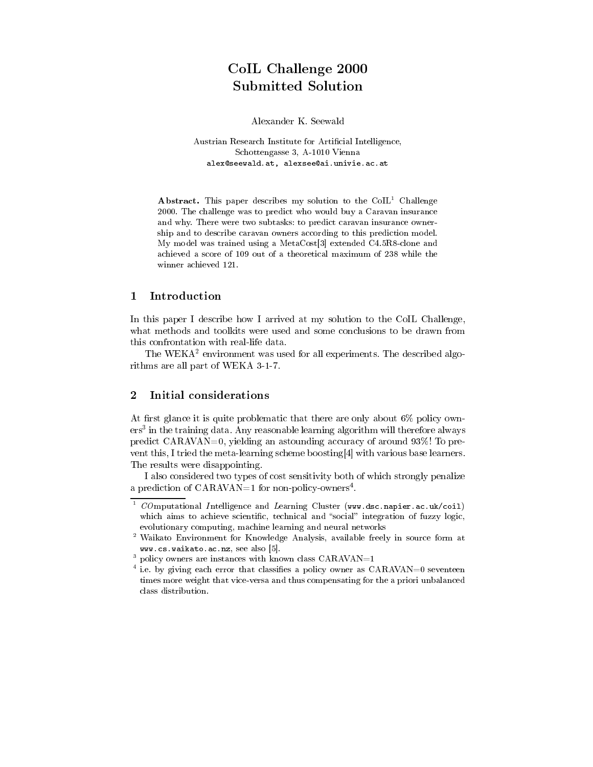# $\sim$  2000  $\sim$  2000  $\sim$  2000  $\sim$  2000  $\sim$  2000  $\sim$ Submitted

Alexander K. Seewald

Austrian Research Institute for Artificial Intelligence, Schottengasse 3, A-1010 Vienna alexander alexandriche alexander aus der der der der der der der den der den der den der den der den der den d

Abstract. This paper describes my solution to the CoIL<sup>1</sup> Challenge 2000. The challenge was to predict who would buy a Caravan insurance and why. There were two subtasks: to predict caravan insurance owner ship and to describe caravan owners according to this prediction model. My model was trained using a MetaCost[3] extended C4.5R8-clone and achieved a score of 109 out of a theoretical maximum of 238 while the winner achieved 121.

#### 1Introduction

In this paper I describe how I arrived at my solution to the CoIL Challenge, what methods and toolkits were used and some conclusions to be drawn from this confrontation with real-life data.

The WEKA<sup>2</sup> environment was used for all experiments. The described algorithms are all part of WEKA 3-1-7.

# Initial considerations

At first glance it is quite problematic that there are only about  $6\%$  policy owners" in the training data. Any reasonable learning algorithm will therefore always predict CARAVAN=0, yielding an astounding accuracy of around 93%! To pre vent this, I tried the meta-learning scheme boosting[4] with various base learners. The results were disappointing.

I also considered two types of cost sensitivity both of which strongly penalize a prediction of  $CARAVAN=1$  for non-policy-owners<sup>4</sup>.

 $^\circ$  COmputational Intelligence and Learning Cluster (www.dsc.napier.ac.uk/coil) which aims to achieve scientific, technical and "social" integration of fuzzy logic, evolutionary computing, machine learning and neural networks

<sup>2</sup> Waikato Environment for Knowledge Analysis, available freely in source form at www.cs.waikato.ac.nz, see also [5].

 $\,$  policy owners are instances with known class  $\mathtt{CARAVAN=}1$ 

 $\,$  i.e. by giving each error that classifies a policy owner as  $\rm{UARAVAN=0}$  seventeen times more weight that vice-versa and thus compensating for the a priori unbalanced class distribution.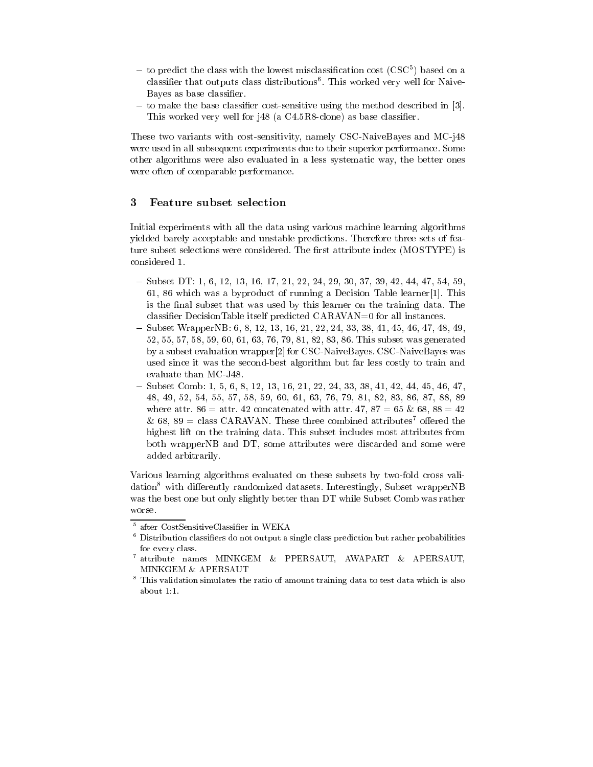- $-$  to predict the class with the lowest misclassification cost (CSC+) based on a classifier that outputs class distributions". This worked very well for Naive-Bayes as base classifier.
- to make the base classier cost-sensitive using the method described in [3]. This worked very well for j48 (a C4.5R8-clone) as base classifier.

These two variants with cost-sensitivity, namely CSC-NaiveBayes and MC-j48 were used in all subsequent experiments due to their superior performance. Some other algorithms were also evaluated in a less systematic way, the better ones were often of comparable performance.

### 3Feature subset selection

Initial experiments with all the data using various machine learning algorithms yielded barely acceptable and unstable predictions. Therefore three sets of feature subset selections were considered. The first attribute index (MOSTYPE) is considered 1.

- Subset DT: 1, 6, 12, 13, 16, 17, 21, 22, 24, 29, 30, 37, 39, 42, 44, 47, 54, 59, 61, 86 which was a byproduct of running a Decision Table learner[1]. This is the final subset that was used by this learner on the training data. The classifier DecisionTable itself predicted  $CARAVAN=0$  for all instances.
- Subset WrapperNB: 6, 8, 12, 13, 16, 21, 22, 24, 33, 38, 41, 45, 46, 47, 48, 49, 52, 55, 57, 58, 59, 60, 61, 63, 76, 79, 81, 82, 83, 86. This subset was generated by a subset evaluation wrapper[2] for CSC-NaiveBayes. CSC-NaiveBayes was used since it was the second-best algorithm but far less costly to train and
- Subset Comb: 1, 5, 6, 8, 12, 13, 16, 21, 22, 24, 33, 38, 41, 42, 44, 45, 46, 47, 48, 49, 52, 54, 55, 57, 58, 59, 60, 61, 63, 76, 79, 81, 82, 83, 86, 87, 88, 89 where attr.  $86 =$  attr.  $42$  concatenated with attr.  $47, 87 = 65 \& 68, 88 = 42$ & 68, 89 = class CARAVAN. These three combined attributes<sup>7</sup> offered the highest lift on the training data. This subset includes most attributes from both wrapperNB and DT, some attributes were discarded and some were added arbitrarily.

Various learning algorithms evaluated on these subsets by two-fold cross validation<sup>8</sup> with differently randomized datasets. Interestingly, Subset wrapperNB was the best one but only slightly better than DT while Subset Comb was rather worse.

<sup>5</sup> after CostSensitiveClassier in WEKA

 $^\circ$  Distribution classifiers do not output a single class prediction but rather probabilities for every class.

<sup>7</sup> attribute names MINKGEM & PPERSAUT, AWAPART & APERSAUT, MINKGEM & APERSAUT

<sup>8</sup> This validation simulates the ratio of amount training data to test data which is also about 1:1.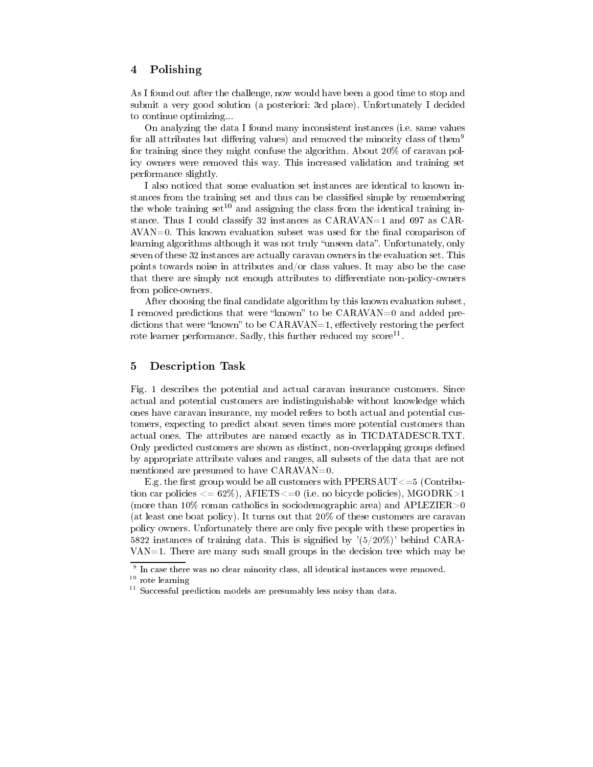#### 4Polishing

As I found out after the challenge, now would have been a good time to stop and submit a very good solution (a posteriori: 3rd place). Unfortunately I decided to continue optimizing...

On analyzing the data I found many inconsistent instances (i.e. same values for all attributes but differing values) and removed the minority class of them<sup>9</sup> for training since they might confuse the algorithm. About 20% of caravan policy owners were removed this way. This increased validation and training set performance slightly.

I also noticed that some evaluation set instances are identical to known instances from the training set and thus can be classified simple by remembering the whole training set<sup>10</sup> and assigning the class from the identical training instance. Thus I could classify 32 instances as CARAVAN=1 and 697 as CAR- $AVAN=0$ . This known evaluation subset was used for the final comparison of learning algorithms although it was not truly "unseen data". Unfortunately, only seven of these 32 instances are actually caravan owners in the evaluation set. This points towards noise in attributes and/or class values. It may also be the case that there are simply not enough attributes to differentiate non-policy-owners from police-owners.

After choosing the final candidate algorithm by this known evaluation subset, I removed predictions that were "known" to be  $CARAVAN=0$  and added predictions that were "known" to be  $CARAVAN=1$ , effectively restoring the perfect rote learner performance. Sadly, this further reduced my score<sup>11</sup>.

#### 5Description Task

Fig. 1 describes the potential and actual caravan insurance customers. Since actual and potential customers are indistinguishable without knowledge which ones have caravan insurance, my model refers to both actual and potential customers, expecting to predict about seven times more potential customers than actual ones. The attributes are named exactly as in TICDATADESCR.TXT. Only predicted customers are shown as distinct, non-overlapping groups defined by appropriate attribute values and ranges, all subsets of the data that are not mentioned are presumed to have CARAVAN=0.

E.g. the first group would be all customers with PPERSAUT $\leq=5$  (Contribution car policies  $\epsilon = 62\%$ ), AFIETS $\epsilon = 0$  (i.e. no bicycle policies), MGODRK $>1$ (more than 10% roman catholics in sociodemographic area) and APLEZIER>0 (at least one boat policy). It turns out that 20% of these customers are caravan policy owners. Unfortunately there are only five people with these properties in 5822 instances of training data. This is signied by '(5/20%)' behind CARA- $VAN=1$ . There are many such small groups in the decision tree which may be

 $^{\circ}$  in case there was no clear minority class, all identical instances were removed.

rote learning

<sup>11</sup> Successful prediction models are presumably less noisy than data.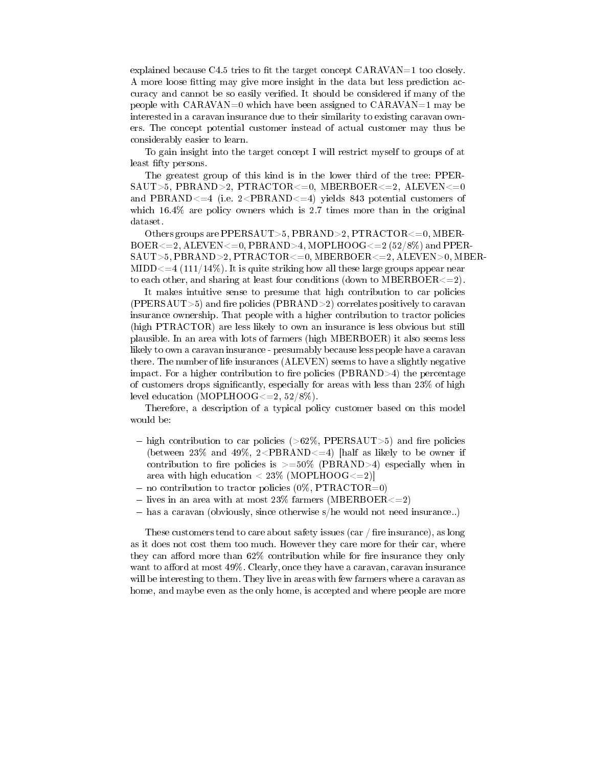explained because C4.5 tries to fit the target concept  $CARAVAN=1$  too closely. A more loose tting may give more insight in the data but less prediction accuracy and cannot be so easily verified. It should be considered if many of the people with  $CARAVAN=0$  which have been assigned to  $CARAVAN=1$  may be interested in a caravan insurance due to their similarity to existing caravan owners. The concept potential customer instead of actual customer may thus be considerably easier to learn.

To gain insight into the target concept I will restrict myself to groups of at least fifty persons.

The greatest group of this kind is in the lower third of the tree: PPER- $SAUT>5, PBRAND>2, PTRACTOR<=0, MBERBOER<=2, ALEVEN<=0$ and PBRAND $\leq$ =4 (i.e. 2 $\leq$ PBRAND $\leq$ =4) yields 843 potential customers of which  $16.4\%$  are policy owners which is 2.7 times more than in the original dataset.

Others groups are PPERSAUT>5, PBRAND>2, PTRACTOR<=0, MBER- $BOER \leq =2$ , ALEVEN $\leq =0$ , PBRAND $>4$ , MOPLHOOG $\leq =2$  (52/8%) and PPER-SAUT>5, PBRAND>2, PTRACTOR<=0, MBERBOER<=2, ALEVEN>0, MBER-MIDD $\leq$ =4 (111/14%). It is quite striking how all these large groups appear near to each other, and sharing at least four conditions (down to MBERBOER $\leq$ =2).

It makes intuitive sense to presume that high contribution to car policies  $(PPERSAUT>5)$  and fire policies  $(PBRAND>2)$  correlates positively to caravan insurance ownership. That people with a higher contribution to tractor policies (high PTRACTOR) are less likely to own an insurance is less obvious but still plausible. In an area with lots of farmers (high MBERBOER) it also seems less likely to own a caravan insurance - presumably because less people have a caravan there. The number of life insurances (ALEVEN) seems to have a slightly negative impact. For a higher contribution to fire policies (PBRAND $>4$ ) the percentage of customers drops significantly, especially for areas with less than  $23\%$  of high level education (MOPLHOOG $\lt=2, 52/8\%$ ).

Therefore, a description of a typical policy customer based on this model would be:

- $h_{\text{H}}$  right contribution to car policies ( $>0$ 27%, PPERSAUTO 1 $>0$ ) and recoperation (between  $23\%$  and  $49\%, 2 < PBRAND < 4$ ) [half as likely to be owner if contribution to fire policies is  $> =50\%$  (PBRAND $>4$ ) especially when in area with high education  $< 23\%$  (MOPLHOOG $<=2$ )
- $\sim$  no contribution to tractor policies (0), PTR  $\sim$  0.10  $\sim$  0)
- $\sim$  11 km an area with at most 23% farmers (MBERBOERS  $\sim$  2)
- has a caravan (obviously, since otherwise s/he would not need insurance..)

These customers tend to care about safety issues (car  $/$  fire insurance), as long as it does not cost them too much. However they care more for their car, where they can afford more than  $62\%$  contribution while for fire insurance they only want to afford at most  $49\%$ . Clearly, once they have a caravan, caravan insurance will be interesting to them. They live in areas with few farmers where a caravan as home, and maybe even as the only home, is accepted and where people are more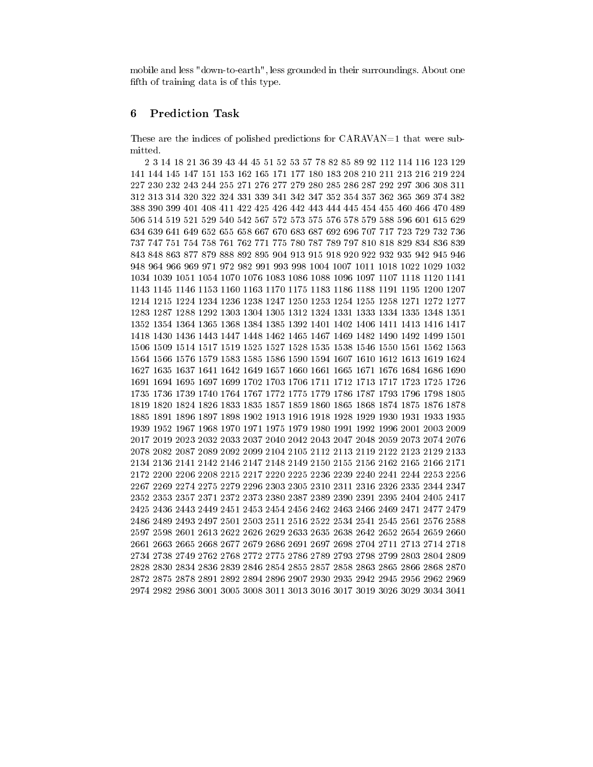mobile and less "down-to-earth", less grounded in their surroundings. About one fifth of training data is of this type.

### 6Prediction Task

These are the indices of polished predictions for CARAVAN=1 that were submitted.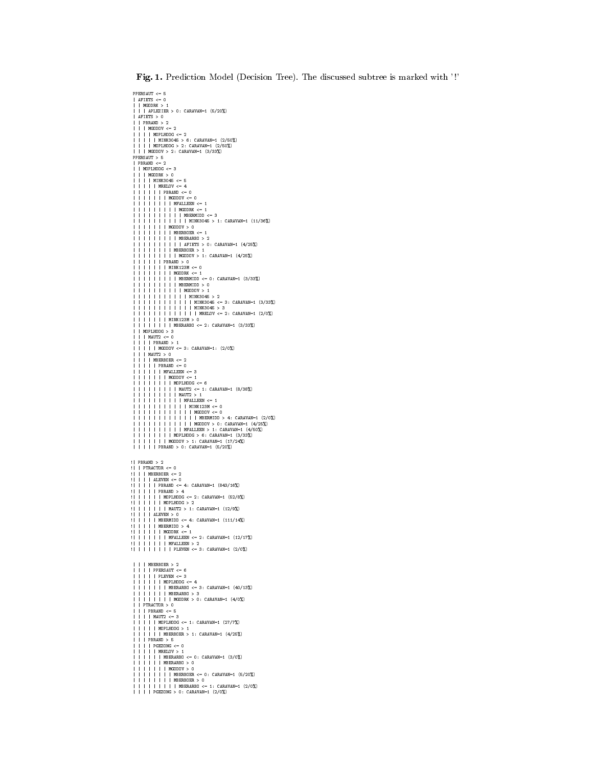Fig. 1. Prediction Model (Decision Tree). The discussed subtree is marked with ' !'

```
PPERSAUT <= 5
    . - --------<br>| AFIETS <= 0<br>| | MGODRK > 1<br>| | | APLEZIER > 0: CARAVAN=1 (5/20%)
    | | PBRAND > 2<br>| | | MGODOV <= 2
    | | | | MINK3045 > 6: CARAVAN=1 (2/50%)<br>| | | | MOPLHOOG > 2: CARAVAN=1 (2/50%)<br>| | | MGODOV > 2: CARAVAN=1 (3/33%)
   PPERSAUT > 5<br>| PBRAND <= 2
    | PBRAND <= 2
| | MOPLHOOG <= 3
| | | MGODRK > 0
|||| MINK3045 <= 5
||||| MRELOV <= 4
|||||| PBRAND <= 0
||||||| MGODOV <= 0
|||||||| MFALLEEN <= 1
||||||||| MGODRK <= 1
| | | | | | | | | | MBERMIDD <= 3
| | | | | | | | | | | MINK3045 > 1: CARAVAN=1 (11/36%)
||||||| MGODOV > 0
|||||||| MBERBOER <= 1
||||||||| MBERARBO > 2
| | | | | | | | | | AFIETS > 0: CARAVAN=1 (4/25%)
|||||||| MBERBOER > 1
||||||||| MGODOV > 1: CARAVAN=1 (4/25%)
|||||| PBRAND > 0
||||||| MINK123M <= 0
|||||||| MGODRK <= 1
||||||||| MBERMIDD <= 0: CARAVAN=1 (3/33%)
||||||||| MBERMIDD > 0
| | | | | | | | | | MGODOV > 1
| | | | | | | | | | | MINK3045 > 2
| | | | | | | | | | | | MINK3045 <= 3: CARAVAN=1 (3/33%)
| | | | | | | | | | | | MINK3045 > 3
| | | | | | | | | | | | | MRELOV <= 2: CARAVAN=1 (2/0%)
||||||| MINK123M > 0
|||||||| MBERARBO <= 2: CARAVAN=1 (3/33%)
| | MOPLHOOG > 3
| | | MAUT2 <= 0
    |||| PBRAND > 1
||||| MGODOV <= 3: CARAVAN=1: (2/0%)
| | | MAUT2 > 0
|||| MBERBOER <= 2
||||| PBRAND <= 0
|||||| MFALLEEN <= 3
||||||| MGODOV <= 1
|||||||| MOPLHOOG <= 6
||||||||| MAUT2 <= 1: CARAVAN=1 (8/38%)
||||||||| MAUT2 > 1
| | | | | | | | | | MFALLEEN <= 1
| | | | | | | | | | | MINK123M <= 0
| | | | | | | | | | | | MGODOV <= 0
| | | | | | | | | | | | | MBERMIDD > 4: CARAVAN=1 (2/0%)
| | | | | | | | | | | | MGODOV > 0: CARAVAN=1 (4/25%)
| | | | | | | | | | MFALLEEN > 1: CARAVAN=1 (4/50%)
|||||||| MOPLHOOG > 6: CARAVAN=1 (3/33%)
||||||| MGODOV > 1: CARAVAN=1 (17/24%)
||||| PBRAND > 0: CARAVAN=1 (5/20%)
:::::::::: 2<br>!! PTRACTOR <= 0
:| | | | ALEVEN <= 0<br>!| | | | PBRAND <= 4: CARAVAN=1 (843/16%)<br>!| | | | PBRAND <= 4: CARAVAN=1 (843/16%)<br>!| | | | | PBRAND > 4<br>!| | | | | | NOPLHOOG <= 2: CARAVAN=1 (52/8%)
\begin{equation*} 1 \quad 1 \quad 1 \quad 1 \quad 1 \quad 1 \quad 1 \quad \text{MAUT2} \Rightarrow 1: \text{ CARAVAN=1} \quad (12/9\%) \end{equation*}!| | | | ALEVEN > 0
!| | | | | MBERMIDD <= 4: CARAVAN=1 (111/14%)
!| | | | | MBERMIDD > 4
!| | | | | | MGODRK <= 1
!| | | | | | | MFALLEEN <= 2: CARAVAN=1 (12/17%)
!| | | | | | | MFALLEEN > 2
!| | | | | | | | PLEVEN <= 3: CARAVAN=1 (2/0%)
    | | | | PPERSAUT <= 6
    || | | | | MOPLHOOG <= 4<br>| | | | | | MBERARBO > 3<br>| | | | | | MBERARBO > 3<br>| | PTRACTOR > 0<br>| | PTRACTOR > 0
    | | | | MAUT2 <= 3<br>| | | | | MOPLHOOG <= 1: CARAVAN=1 (27/7%)<br>| | | | | | MOPLHOOG > 1<br>| | | | | MBERBOER > 1: CARAVAN=1 (4/25%)<br>| | | PBRAND > 5<br>| | | PGEZONG <= 0
    | | | | | | MBERARBO <= 0: CARAVAN=1 (3/0%)<br>| | | | | | MBERARBO > 0<br>| | | | | | | MBERARBO > 0<br>| | | | | | | | MBERBOER <= 0: CARAVAN=1 (5/20%)<br>| | | | | | | | MBERBOER > 0<br>| | | | | PGEZONG > 0: CARAVAN=1 (2/0%)
```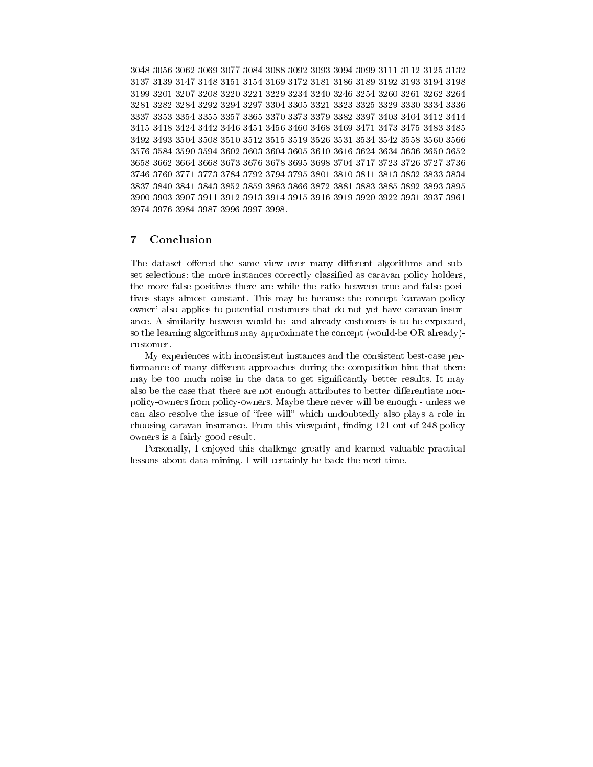3048 3056 3062 3069 3077 3084 3088 3092 3093 3094 3099 3111 3112 3125 3132 3137 3139 3147 3148 3151 3154 3169 3172 3181 3186 3189 3192 3193 3194 3198 3199 3201 3207 3208 3220 3221 3229 3234 3240 3246 3254 3260 3261 3262 3264 3281 3282 3284 3292 3294 3297 3304 3305 3321 3323 3325 3329 3330 3334 3336 3337 3353 3354 3355 3357 3365 3370 3373 3379 3382 3397 3403 3404 3412 3414 3415 3418 3424 3442 3446 3451 3456 3460 3468 3469 3471 3473 3475 3483 3485 3492 3493 3504 3508 3510 3512 3515 3519 3526 3531 3534 3542 3558 3560 3566 3658 3662 3664 3668 3673 3676 3678 3695 3698 3704 3717 3723 3726 3727 3736 3746 3760 3771 3773 3784 3792 3794 3795 3801 3810 3811 3813 3832 3833 3834 3837 3840 3841 3843 3852 3859 3863 3866 3872 3881 3883 3885 3892 3893 3895 3900 3903 3907 3911 3912 3913 3914 3915 3916 3919 3920 3922 3931 3937 3961 3974 3976 3984 3987 3996 3997 3998.

## 7Conclusion

The dataset offered the same view over many different algorithms and subset selections: the more instances correctly classified as caravan policy holders, the more false positives there are while the ratio between true and false positives stays almost constant. This may be because the concept 'caravan policy owner' also applies to potential customers that do not yet have caravan insurance. A similarity between would-be- and already-customers is to be expected, so the learning algorithms may approximate the concept (would-be OR already) customer.

My experiences with inconsistent instances and the consistent best-case performance of many different approaches during the competition hint that there may be too much noise in the data to get significantly better results. It may also be the case that there are not enough attributes to better differentiate nonpolicy-owners from policy-owners. Maybe there never will be enough - unless we can also resolve the issue of "free will" which undoubtedly also plays a role in choosing caravan insurance. From this viewpoint, finding 121 out of 248 policy owners is a fairly good result.

Personally, I enjoyed this challenge greatly and learned valuable practical lessons about data mining. I will certainly be back the next time.